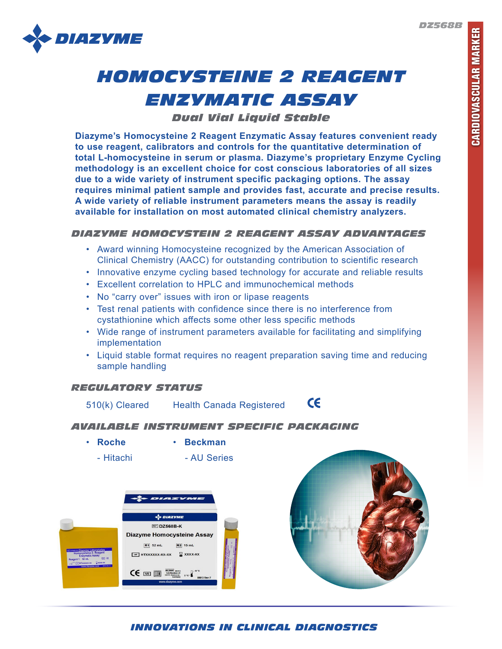*DZ568B*



# *HOMOCYSTEINE 2 REAGENT ENZYMATIC ASSAY*

*Dual Vial Liquid Stable*

**Diazyme's Homocysteine 2 Reagent Enzymatic Assay features convenient ready to use reagent, calibrators and controls for the quantitative determination of total L-homocysteine in serum or plasma. Diazyme's proprietary Enzyme Cycling methodology is an excellent choice for cost conscious laboratories of all sizes due to a wide variety of instrument specific packaging options. The assay requires minimal patient sample and provides fast, accurate and precise results. A wide variety of reliable instrument parameters means the assay is readily available for installation on most automated clinical chemistry analyzers.**

# *DIAZYME HOMOCYSTEIN 2 REAGENT ASSAY ADVANTAGES*

- Award winning Homocysteine recognized by the American Association of Clinical Chemistry (AACC) for outstanding contribution to scientific research
- Innovative enzyme cycling based technology for accurate and reliable results
- Excellent correlation to HPLC and immunochemical methods
- No "carry over" issues with iron or lipase reagents
- Test renal patients with confidence since there is no interference from cystathionine which affects some other less specific methods
- Wide range of instrument parameters available for facilitating and simplifying implementation
- Liquid stable format requires no reagent preparation saving time and reducing sample handling

## *REGULATORY STATUS*

 $c\epsilon$ 510(k) Cleared Health Canada Registered

#### *AVAILABLE INSTRUMENT SPECIFIC PACKAGING*

- **Roche Beckman**
	-
	- Hitachi AU Series





# *INNOVATIONS IN CLINICAL DIAGNOSTICS*